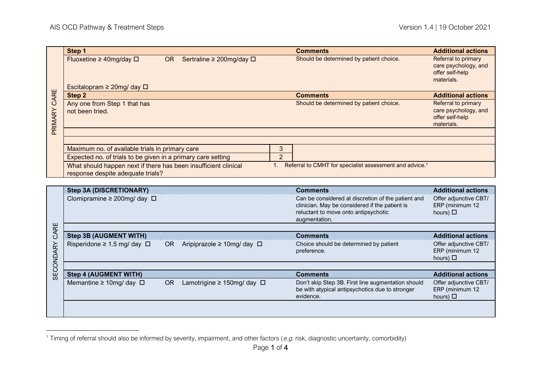| CARE<br>PRIMARY | Step 1                                                          |           |                                     |                 | <b>Comments</b>                                                     | <b>Additional actions</b>     |
|-----------------|-----------------------------------------------------------------|-----------|-------------------------------------|-----------------|---------------------------------------------------------------------|-------------------------------|
|                 | Fluoxetine $\geq$ 40mg/day $\Box$                               | <b>OR</b> | Sertraline $\geq 200$ mg/day $\Box$ |                 | Should be determined by patient choice.                             | Referral to primary           |
|                 |                                                                 |           |                                     |                 |                                                                     | care psychology, and          |
|                 |                                                                 |           |                                     |                 |                                                                     | offer self-help<br>materials. |
|                 | Escitalopram $\geq$ 20mg/day $\Box$                             |           |                                     |                 |                                                                     |                               |
|                 | Step 2                                                          |           |                                     | <b>Comments</b> | <b>Additional actions</b>                                           |                               |
|                 | Any one from Step 1 that has                                    |           |                                     |                 | Should be determined by patient choice.                             | Referral to primary           |
|                 | not been tried.                                                 |           |                                     |                 |                                                                     | care psychology, and          |
|                 |                                                                 |           |                                     |                 |                                                                     | offer self-help<br>materials. |
|                 |                                                                 |           |                                     |                 |                                                                     |                               |
|                 |                                                                 |           |                                     |                 |                                                                     |                               |
|                 | Maximum no. of available trials in primary care                 |           |                                     | 3               |                                                                     |                               |
|                 |                                                                 |           |                                     |                 |                                                                     |                               |
|                 | Expected no. of trials to be given in a primary care setting    |           |                                     | $\overline{2}$  |                                                                     |                               |
|                 | What should happen next if there has been insufficient clinical |           |                                     |                 | Referral to CMHT for specialist assessment and advice. <sup>1</sup> |                               |
|                 | response despite adequate trials?                               |           |                                     |                 |                                                                     |                               |

| PRIMARY CARE                                                                                                                           | Step 2                                                          |           |                                       |    | <b>Comments</b>                                                                                                                                               | <b>Additional actions</b>                                 |  |
|----------------------------------------------------------------------------------------------------------------------------------------|-----------------------------------------------------------------|-----------|---------------------------------------|----|---------------------------------------------------------------------------------------------------------------------------------------------------------------|-----------------------------------------------------------|--|
|                                                                                                                                        | Any one from Step 1 that has                                    |           |                                       |    | Should be determined by patient choice.                                                                                                                       | Referral to primary                                       |  |
|                                                                                                                                        | not been tried.                                                 |           |                                       |    |                                                                                                                                                               | care psychology, and<br>offer self-help<br>materials.     |  |
|                                                                                                                                        |                                                                 |           |                                       |    |                                                                                                                                                               |                                                           |  |
|                                                                                                                                        |                                                                 |           |                                       |    |                                                                                                                                                               |                                                           |  |
|                                                                                                                                        | Maximum no. of available trials in primary care                 |           |                                       |    |                                                                                                                                                               |                                                           |  |
|                                                                                                                                        | Expected no. of trials to be given in a primary care setting    |           |                                       |    |                                                                                                                                                               |                                                           |  |
|                                                                                                                                        | What should happen next if there has been insufficient clinical |           |                                       | 1. | Referral to CMHT for specialist assessment and advice. <sup>1</sup>                                                                                           |                                                           |  |
|                                                                                                                                        | response despite adequate trials?                               |           |                                       |    |                                                                                                                                                               |                                                           |  |
|                                                                                                                                        |                                                                 |           |                                       |    |                                                                                                                                                               |                                                           |  |
|                                                                                                                                        | <b>Step 3A (DISCRETIONARY)</b>                                  |           |                                       |    | <b>Comments</b>                                                                                                                                               | <b>Additional actions</b>                                 |  |
|                                                                                                                                        | Clomipramine $\geq$ 200mg/day $\Box$                            |           |                                       |    | Can be considered at discretion of the patient and<br>clinician. May be considered if the patient is<br>reluctant to move onto antipsychotic<br>augmentation. | Offer adjunctive CBT/<br>ERP (minimum 12<br>hours) $\Box$ |  |
|                                                                                                                                        |                                                                 |           |                                       |    |                                                                                                                                                               |                                                           |  |
| CARE<br><b>SECONDARY</b>                                                                                                               | <b>Step 3B (AUGMENT WITH)</b>                                   |           |                                       |    | <b>Comments</b>                                                                                                                                               | <b>Additional actions</b>                                 |  |
|                                                                                                                                        | Risperidone $\geq 1.5$ mg/ day $\Box$                           | <b>OR</b> | Aripiprazole ≥ 10mg/ day □            |    | Choice should be determined by patient<br>preference.                                                                                                         | Offer adjunctive CBT/<br>ERP (minimum 12<br>hours) $\Box$ |  |
|                                                                                                                                        |                                                                 |           |                                       |    |                                                                                                                                                               |                                                           |  |
|                                                                                                                                        | <b>Step 4 (AUGMENT WITH)</b>                                    |           |                                       |    | <b>Comments</b>                                                                                                                                               | <b>Additional actions</b>                                 |  |
|                                                                                                                                        | Memantine $\geq 10$ mg/day $\Box$                               | OR        | Lamotrigine $\geq 150$ mg/ day $\Box$ |    | Don't skip Step 3B. First line augmentation should<br>be with atypical antipsychotics due to stronger<br>evidence.                                            | Offer adjunctive CBT/<br>ERP (minimum 12<br>hours) $\Box$ |  |
|                                                                                                                                        |                                                                 |           |                                       |    |                                                                                                                                                               |                                                           |  |
|                                                                                                                                        |                                                                 |           |                                       |    |                                                                                                                                                               |                                                           |  |
|                                                                                                                                        |                                                                 |           |                                       |    |                                                                                                                                                               |                                                           |  |
| Timing of referral should also be informed by severity, impairment, and other factors (e.g. risk, diagnostic uncertainty, comorbidity) |                                                                 |           |                                       |    |                                                                                                                                                               |                                                           |  |
|                                                                                                                                        |                                                                 |           |                                       |    |                                                                                                                                                               |                                                           |  |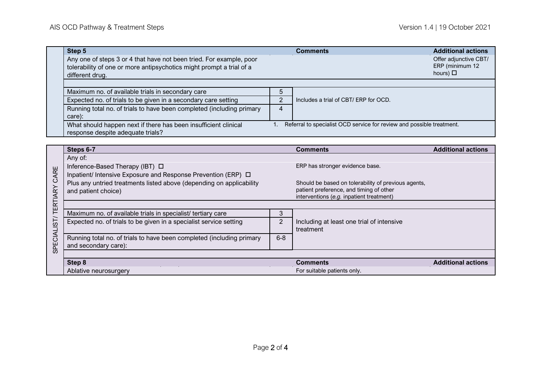|                     | Step 5                                                                                                                                                                                   |                                                                                     | <b>Comments</b>                                                                        | <b>Additional actions</b> |  |  |  |  |  |
|---------------------|------------------------------------------------------------------------------------------------------------------------------------------------------------------------------------------|-------------------------------------------------------------------------------------|----------------------------------------------------------------------------------------|---------------------------|--|--|--|--|--|
|                     | Any one of steps 3 or 4 that have not been tried. For example, poor<br>tolerability of one or more antipsychotics might prompt a trial of a<br>different drug.                           |                                                                                     | Offer adjunctive CBT/<br>ERP (minimum 12<br>hours) $\Box$                              |                           |  |  |  |  |  |
|                     |                                                                                                                                                                                          |                                                                                     |                                                                                        |                           |  |  |  |  |  |
|                     | Maximum no. of available trials in secondary care                                                                                                                                        | 5                                                                                   | Includes a trial of CBT/ ERP for OCD.                                                  |                           |  |  |  |  |  |
|                     | Expected no. of trials to be given in a secondary care setting                                                                                                                           | $\overline{2}$                                                                      |                                                                                        |                           |  |  |  |  |  |
|                     | Running total no. of trials to have been completed (including primary<br>care):                                                                                                          | 4                                                                                   |                                                                                        |                           |  |  |  |  |  |
|                     | What should happen next if there has been insufficient clinical<br>response despite adequate trials?                                                                                     | Referral to specialist OCD service for review and possible treatment.               |                                                                                        |                           |  |  |  |  |  |
|                     |                                                                                                                                                                                          |                                                                                     |                                                                                        |                           |  |  |  |  |  |
|                     | Steps 6-7                                                                                                                                                                                |                                                                                     | <b>Comments</b>                                                                        | <b>Additional actions</b> |  |  |  |  |  |
| CARE                | Any of:<br>Inference-Based Therapy (IBT) □<br>Inpatient/ Intensive Exposure and Response Prevention (ERP) $\Box$<br>Plus any untried treatments listed above (depending on applicability |                                                                                     | ERP has stronger evidence base.<br>Should be based on tolerability of previous agents, |                           |  |  |  |  |  |
|                     | and patient choice)                                                                                                                                                                      | patient preference, and timing of other<br>interventions (e.g. inpatient treatment) |                                                                                        |                           |  |  |  |  |  |
|                     |                                                                                                                                                                                          |                                                                                     |                                                                                        |                           |  |  |  |  |  |
| SPECIALIST/TERTIARY | Maximum no. of available trials in specialist/ tertiary care                                                                                                                             | 3<br>$\overline{2}$                                                                 |                                                                                        |                           |  |  |  |  |  |
|                     | Expected no. of trials to be given in a specialist service setting                                                                                                                       |                                                                                     | Including at least one trial of intensive<br>treatment                                 |                           |  |  |  |  |  |
|                     | Running total no. of trials to have been completed (including primary<br>and secondary care):                                                                                            | $6 - 8$                                                                             |                                                                                        |                           |  |  |  |  |  |
|                     |                                                                                                                                                                                          |                                                                                     |                                                                                        |                           |  |  |  |  |  |
|                     | Step 8                                                                                                                                                                                   | <b>Comments</b>                                                                     | <b>Additional actions</b>                                                              |                           |  |  |  |  |  |
|                     | Ablative neurosurgery                                                                                                                                                                    | For suitable patients only.                                                         |                                                                                        |                           |  |  |  |  |  |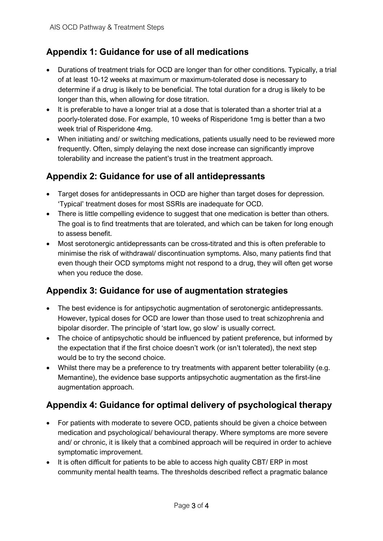## **Appendix 1: Guidance for use of all medications**

- Durations of treatment trials for OCD are longer than for other conditions. Typically, a trial of at least 10-12 weeks at maximum or maximum-tolerated dose is necessary to determine if a drug is likely to be beneficial. The total duration for a drug is likely to be longer than this, when allowing for dose titration.
- It is preferable to have a longer trial at a dose that is tolerated than a shorter trial at a poorly-tolerated dose. For example, 10 weeks of Risperidone 1mg is better than a two week trial of Risperidone 4mg.
- When initiating and/ or switching medications, patients usually need to be reviewed more frequently. Often, simply delaying the next dose increase can significantly improve tolerability and increase the patient's trust in the treatment approach.

## **Appendix 2: Guidance for use of all antidepressants**

- Target doses for antidepressants in OCD are higher than target doses for depression. 'Typical' treatment doses for most SSRIs are inadequate for OCD.
- There is little compelling evidence to suggest that one medication is better than others. The goal is to find treatments that are tolerated, and which can be taken for long enough to assess benefit.
- Most serotonergic antidepressants can be cross-titrated and this is often preferable to minimise the risk of withdrawal/ discontinuation symptoms. Also, many patients find that even though their OCD symptoms might not respond to a drug, they will often get worse when you reduce the dose.

## **Appendix 3: Guidance for use of augmentation strategies**

- The best evidence is for antipsychotic augmentation of serotonergic antidepressants. However, typical doses for OCD are lower than those used to treat schizophrenia and bipolar disorder. The principle of 'start low, go slow' is usually correct.
- The choice of antipsychotic should be influenced by patient preference, but informed by the expectation that if the first choice doesn't work (or isn't tolerated), the next step would be to try the second choice.
- Whilst there may be a preference to try treatments with apparent better tolerability (e.g. Memantine), the evidence base supports antipsychotic augmentation as the first-line augmentation approach.

## **Appendix 4: Guidance for optimal delivery of psychological therapy**

- For patients with moderate to severe OCD, patients should be given a choice between medication and psychological/ behavioural therapy. Where symptoms are more severe and/ or chronic, it is likely that a combined approach will be required in order to achieve symptomatic improvement.
- It is often difficult for patients to be able to access high quality CBT/ ERP in most community mental health teams. The thresholds described reflect a pragmatic balance